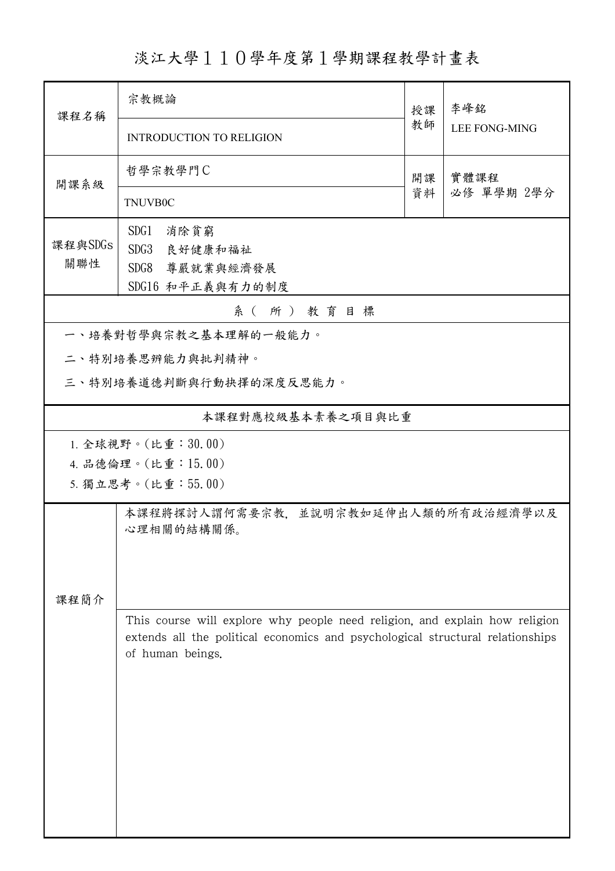淡江大學110學年度第1學期課程教學計畫表

| 課程名稱                                     | 宗教概論                                                                                                                                                                              |          | 李峰銘                  |  |  |  |
|------------------------------------------|-----------------------------------------------------------------------------------------------------------------------------------------------------------------------------------|----------|----------------------|--|--|--|
|                                          | <b>INTRODUCTION TO RELIGION</b>                                                                                                                                                   | 教師       | <b>LEE FONG-MING</b> |  |  |  |
| 開課系級                                     | 哲學宗教學門C                                                                                                                                                                           | 開課<br>資料 | 實體課程<br>必修 單學期 2學分   |  |  |  |
|                                          | <b>TNUVB0C</b>                                                                                                                                                                    |          |                      |  |  |  |
| 課程與SDGs                                  | SDG1<br>消除貧窮<br>SDG3<br>良好健康和福祉                                                                                                                                                   |          |                      |  |  |  |
| 關聯性                                      | SDG8<br>尊嚴就業與經濟發展                                                                                                                                                                 |          |                      |  |  |  |
|                                          | SDG16 和平正義與有力的制度                                                                                                                                                                  |          |                      |  |  |  |
| 系(所)教育目標<br>一、培養對哲學與宗教之基本理解的一般能力。        |                                                                                                                                                                                   |          |                      |  |  |  |
| 二、特別培養思辨能力與批判精神。                         |                                                                                                                                                                                   |          |                      |  |  |  |
| 三、特別培養道德判斷與行動抉擇的深度反思能力。                  |                                                                                                                                                                                   |          |                      |  |  |  |
| 本課程對應校級基本素養之項目與比重                        |                                                                                                                                                                                   |          |                      |  |  |  |
| 1. 全球視野。(比重:30.00)                       |                                                                                                                                                                                   |          |                      |  |  |  |
| 4. 品德倫理。(比重:15.00)<br>5. 獨立思考。(比重:55.00) |                                                                                                                                                                                   |          |                      |  |  |  |
| 本課程將探討人謂何需要宗教,並說明宗教如延伸出人類的所有政治經濟學以及      |                                                                                                                                                                                   |          |                      |  |  |  |
|                                          | 心理相關的結構關係。                                                                                                                                                                        |          |                      |  |  |  |
|                                          |                                                                                                                                                                                   |          |                      |  |  |  |
| 課程簡介                                     |                                                                                                                                                                                   |          |                      |  |  |  |
|                                          | This course will explore why people need religion, and explain how religion<br>extends all the political economics and psychological structural relationships<br>of human beings. |          |                      |  |  |  |
|                                          |                                                                                                                                                                                   |          |                      |  |  |  |
|                                          |                                                                                                                                                                                   |          |                      |  |  |  |
|                                          |                                                                                                                                                                                   |          |                      |  |  |  |
|                                          |                                                                                                                                                                                   |          |                      |  |  |  |
|                                          |                                                                                                                                                                                   |          |                      |  |  |  |
|                                          |                                                                                                                                                                                   |          |                      |  |  |  |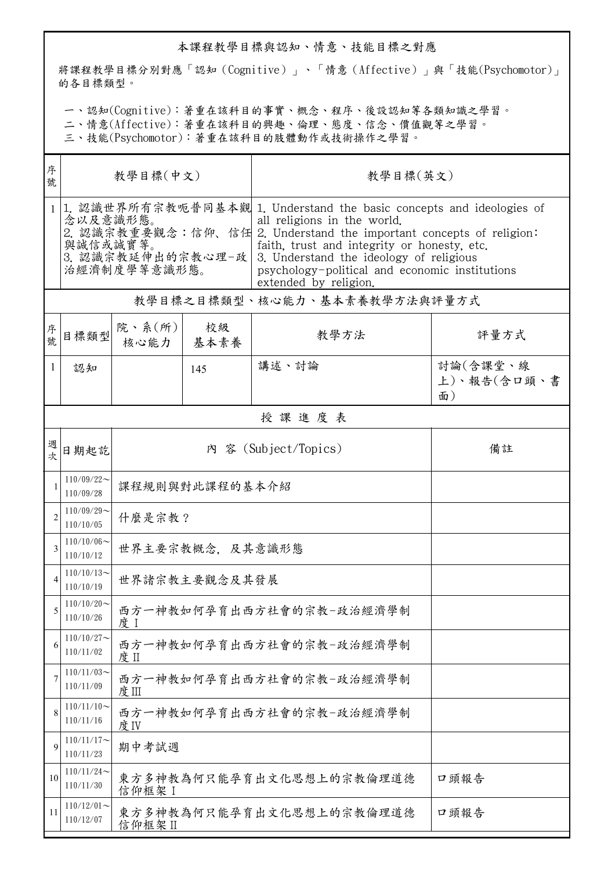## 本課程教學目標與認知、情意、技能目標之對應

將課程教學目標分別對應「認知(Cognitive)」、「情意(Affective)」與「技能(Psychomotor)」 的各目標類型。

一、認知(Cognitive):著重在該科目的事實、概念、程序、後設認知等各類知識之學習。

二、情意(Affective):著重在該科目的興趣、倫理、態度、信念、價值觀等之學習。

三、技能(Psychomotor):著重在該科目的肢體動作或技術操作之學習。

| 序<br>號       | 教學目標(中文)                                                  |                                             |            | 教學目標(英文)                                                                                                                                                                                                                                                                                                                                        |                               |  |
|--------------|-----------------------------------------------------------|---------------------------------------------|------------|-------------------------------------------------------------------------------------------------------------------------------------------------------------------------------------------------------------------------------------------------------------------------------------------------------------------------------------------------|-------------------------------|--|
| $\mathbf{1}$ | 念以及意識形態。<br>與誠信或誠實等。<br>3. 認識宗教延伸出的宗教心理-政<br>治經濟制度學等意識形態。 |                                             |            | 1. 認識世界所有宗教呃普同基本觀 1. Understand the basic concepts and ideologies of<br>all religions in the world.<br>2. 認識宗教重要觀念:信仰、信任 2. Understand the important concepts of religion:<br>faith, trust and integrity or honesty, etc.<br>3. Understand the ideology of religious<br>psychology-political and economic institutions<br>extended by religion. |                               |  |
|              | 教學目標之目標類型、核心能力、基本素養教學方法與評量方式                              |                                             |            |                                                                                                                                                                                                                                                                                                                                                 |                               |  |
| 序號           | 目標類型                                                      | 院、系 $(\kappa)$<br>核心能力                      | 校級<br>基本素養 | 教學方法                                                                                                                                                                                                                                                                                                                                            | 評量方式                          |  |
| 1            | 認知                                                        |                                             | 145        | 講述、討論                                                                                                                                                                                                                                                                                                                                           | 討論(含課堂、線<br>上)、報告(含口頭、書<br>面) |  |
|              |                                                           |                                             |            | 授課進度表                                                                                                                                                                                                                                                                                                                                           |                               |  |
| 週<br>次       | 日期起訖                                                      |                                             |            | 內 容 (Subject/Topics)                                                                                                                                                                                                                                                                                                                            | 備註                            |  |
|              | $110/09/22$ ~<br>110/09/28                                | 課程規則與對此課程的基本介紹                              |            |                                                                                                                                                                                                                                                                                                                                                 |                               |  |
| 2            | $110/09/29$ ~<br>110/10/05                                | 什麼是宗教?                                      |            |                                                                                                                                                                                                                                                                                                                                                 |                               |  |
| 3            | $110/10/06 \sim$<br>110/10/12                             | 世界主要宗教概念, 及其意識形態                            |            |                                                                                                                                                                                                                                                                                                                                                 |                               |  |
| 4            | $110/10/13$ ~<br>110/10/19                                | 世界諸宗教主要觀念及其發展                               |            |                                                                                                                                                                                                                                                                                                                                                 |                               |  |
| 5            | $110/10/20$ ~<br>110/10/26                                | 西方一神教如何孕育出西方社會的宗教-政治經濟學制<br>度 1             |            |                                                                                                                                                                                                                                                                                                                                                 |                               |  |
| 6            | $110/10/27$ ~<br>110/11/02                                | 西方一神教如何孕育出西方社會的宗教-政治經濟學制<br>度Ⅱ              |            |                                                                                                                                                                                                                                                                                                                                                 |                               |  |
| 7            | $110/11/03$ ~<br>110/11/09                                | 西方一神教如何孕育出西方社會的宗教-政治經濟學制<br>度Ⅲ              |            |                                                                                                                                                                                                                                                                                                                                                 |                               |  |
| 8            | $110/11/10$ ~<br>110/11/16                                | 西方一神教如何孕育出西方社會的宗教-政治經濟學制<br>度IV             |            |                                                                                                                                                                                                                                                                                                                                                 |                               |  |
| 9            | $110/11/17$ ~<br>110/11/23                                | 期中考試週                                       |            |                                                                                                                                                                                                                                                                                                                                                 |                               |  |
| 10           | $110/11/24$ ~<br>110/11/30                                | 東方多神教為何只能孕育出文化思想上的宗教倫理道德<br>口頭報告<br>信仰框架 I  |            |                                                                                                                                                                                                                                                                                                                                                 |                               |  |
| 11           | $110/12/01$ ~<br>110/12/07                                | 東方多神教為何只能孕育出文化思想上的宗教倫理道德<br>口頭報告<br>信仰框架 II |            |                                                                                                                                                                                                                                                                                                                                                 |                               |  |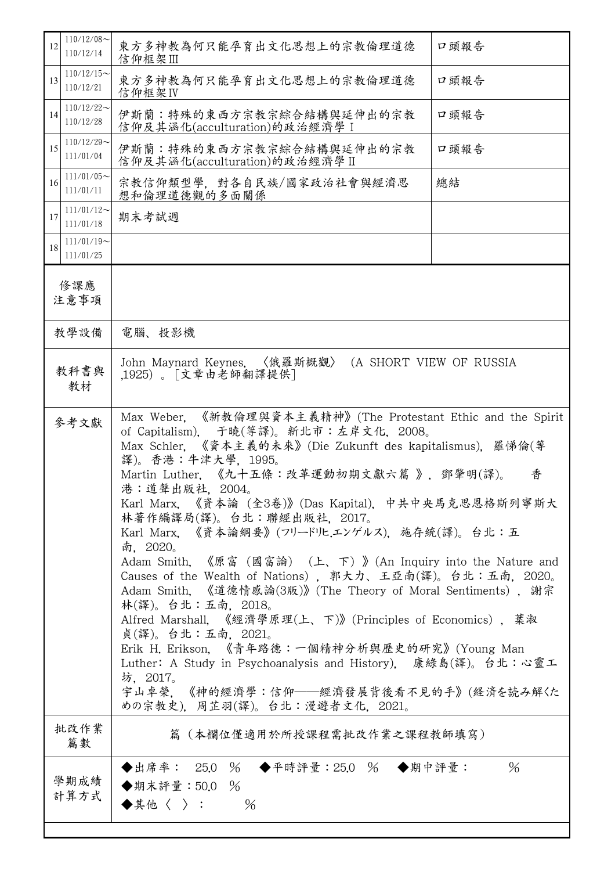| $110/12/08$ ~<br>12<br>110/12/14 | 東方多神教為何只能孕育出文化思想上的宗教倫理道德<br>信仰框架Ⅲ                                                                                                                                                                                                                                                                                                                                                                                                                                                                                                                                                                                                                                                                                                                                                                                                                                                                                          | 口頭報告 |  |  |
|----------------------------------|----------------------------------------------------------------------------------------------------------------------------------------------------------------------------------------------------------------------------------------------------------------------------------------------------------------------------------------------------------------------------------------------------------------------------------------------------------------------------------------------------------------------------------------------------------------------------------------------------------------------------------------------------------------------------------------------------------------------------------------------------------------------------------------------------------------------------------------------------------------------------------------------------------------------------|------|--|--|
| $110/12/15$ ~<br>13<br>110/12/21 | 東方多神教為何只能孕育出文化思想上的宗教倫理道德<br>信仰框架IV                                                                                                                                                                                                                                                                                                                                                                                                                                                                                                                                                                                                                                                                                                                                                                                                                                                                                         | 口頭報告 |  |  |
| $110/12/22$ ~<br>14<br>110/12/28 | 伊斯蘭:特殊的東西方宗教宗綜合結構與延伸出的宗教<br>信仰及其涵化(acculturation)的政治經濟學 I                                                                                                                                                                                                                                                                                                                                                                                                                                                                                                                                                                                                                                                                                                                                                                                                                                                                  | 口頭報告 |  |  |
| $110/12/29$ ~<br>15<br>111/01/04 | 伊斯蘭:特殊的東西方宗教宗綜合結構與延伸出的宗教<br>信仰及其涵化(acculturation)的政治經濟學 II                                                                                                                                                                                                                                                                                                                                                                                                                                                                                                                                                                                                                                                                                                                                                                                                                                                                 | 口頭報告 |  |  |
| $111/01/05$ ~<br>16<br>111/01/11 | 宗教信仰類型學,對各自民族/國家政治社會與經濟思<br>想和倫理道德觀的多面關係                                                                                                                                                                                                                                                                                                                                                                                                                                                                                                                                                                                                                                                                                                                                                                                                                                                                                   | 總結   |  |  |
| $111/01/12$ ~<br>17<br>111/01/18 | 期末考試週                                                                                                                                                                                                                                                                                                                                                                                                                                                                                                                                                                                                                                                                                                                                                                                                                                                                                                                      |      |  |  |
| $111/01/19$ ~<br>18<br>111/01/25 |                                                                                                                                                                                                                                                                                                                                                                                                                                                                                                                                                                                                                                                                                                                                                                                                                                                                                                                            |      |  |  |
| 修課應<br>注意事項                      |                                                                                                                                                                                                                                                                                                                                                                                                                                                                                                                                                                                                                                                                                                                                                                                                                                                                                                                            |      |  |  |
| 教學設備                             | 電腦、投影機                                                                                                                                                                                                                                                                                                                                                                                                                                                                                                                                                                                                                                                                                                                                                                                                                                                                                                                     |      |  |  |
| 教科書與<br>教材                       | John Maynard Keynes. 〈俄羅斯概觀〉<br>(A SHORT VIEW OF RUSSIA<br>,1925)。「文章由老師翻譯提供]                                                                                                                                                                                                                                                                                                                                                                                                                                                                                                                                                                                                                                                                                                                                                                                                                                              |      |  |  |
| 參考文獻                             | 《新教倫理與資本主義精神》(The Protestant Ethic and the Spirit<br>Max Weber.<br>of Capitalism), 于曉(等譯)。新北市:左岸文化, 2008。<br>Max Schler. 《資本主義的未來》(Die Zukunft des kapitalismus). 羅悌倫(等<br>譯)。香港:牛津大學, 1995。<br>Martin Luther. 《九十五條:改革運動初期文獻六篇 》, 鄧肇明(譯)。<br>香<br>港:道聲出版社, 2004。<br>Karl Marx. 《資本論 (全3卷)》(Das Kapital). 中共中央馬克思恩格斯列寧斯大<br>林著作編譯局(譯)。台北:聯經出版社,2017。<br>Karl Marx. 《資本論綱要》(フリードリヒエンゲルス). 施存統(譯)。台北:五<br>南, 2020。<br>Adam Smith. 《原富 (國富論) (上、下)》(An Inquiry into the Nature and<br>Causes of the Wealth of Nations), 郭大力、王亞南(譯)。台北:五南, 2020。<br>Adam Smith. 《道德情感論(3版)》(The Theory of Moral Sentiments), 謝宗<br>林(譯)。台北:五南,2018。<br>Alfred Marshall. 《經濟學原理(上、下)》(Principles of Economics), 葉淑<br>貞(譯)。台北:五南,2021。<br>Erik H. Erikson, 《青年路德:一個精神分析與歷史的研究》(Young Man<br>Luther: A Study in Psychoanalysis and History), 康綠島(譯)。台北:心靈工<br>坊,2017。<br>宇山卓榮,《神的經濟學:信仰——經濟發展背後看不見的手》(経済を読み解くた<br>めの宗教史), 周芷羽(譯)。台北:漫遊者文化, 2021。 |      |  |  |
| 批改作業<br>篇數                       | 篇(本欄位僅適用於所授課程需批改作業之課程教師填寫)                                                                                                                                                                                                                                                                                                                                                                                                                                                                                                                                                                                                                                                                                                                                                                                                                                                                                                 |      |  |  |
| 學期成績<br>計算方式                     | ◆出席率: 25.0 % ◆平時評量: 25.0 % ◆期中評量:<br>$\%$<br>◆期末評量: 50.0<br>◆其他〈 〉:<br>$\frac{0}{6}$                                                                                                                                                                                                                                                                                                                                                                                                                                                                                                                                                                                                                                                                                                                                                                                                                                       | $\%$ |  |  |